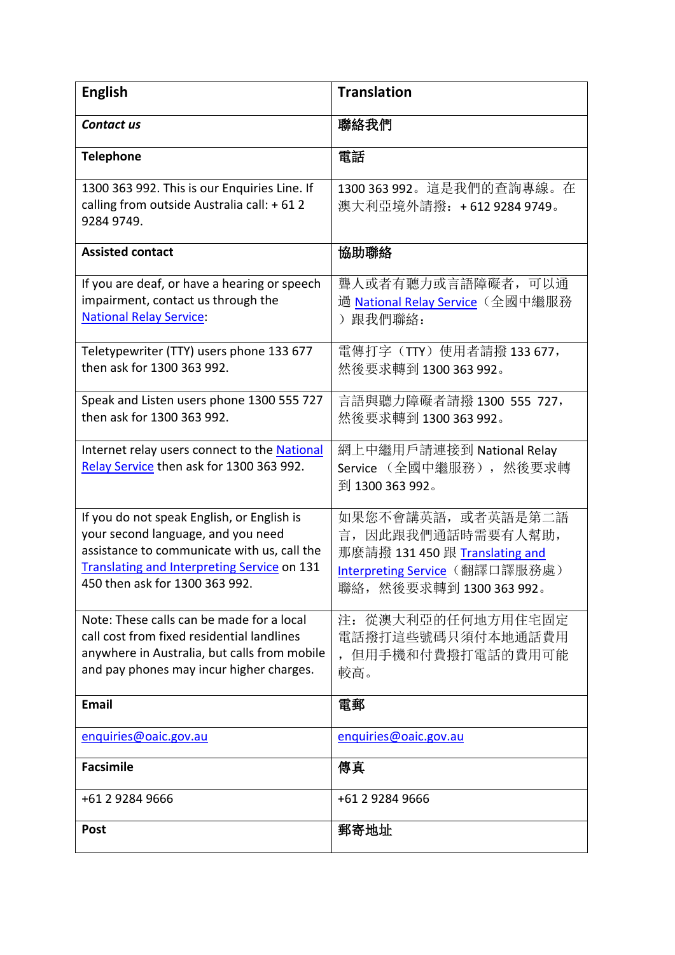| <b>English</b>                                                                                                                                                                                                          | <b>Translation</b>                                                                                                                       |
|-------------------------------------------------------------------------------------------------------------------------------------------------------------------------------------------------------------------------|------------------------------------------------------------------------------------------------------------------------------------------|
| <b>Contact us</b>                                                                                                                                                                                                       | 聯絡我們                                                                                                                                     |
| <b>Telephone</b>                                                                                                                                                                                                        | 電話                                                                                                                                       |
| 1300 363 992. This is our Enquiries Line. If<br>calling from outside Australia call: +612<br>9284 9749.                                                                                                                 | 1300 363 992。這是我們的查詢專線。在<br>澳大利亞境外請撥: +612 9284 9749。                                                                                    |
| <b>Assisted contact</b>                                                                                                                                                                                                 | 協助聯絡                                                                                                                                     |
| If you are deaf, or have a hearing or speech<br>impairment, contact us through the<br><b>National Relay Service:</b>                                                                                                    | 聾人或者有聽力或言語障礙者, 可以通<br><u> 過 National Relay Service</u> (全國中繼服務<br>) 跟我們聯絡:                                                               |
| Teletypewriter (TTY) users phone 133 677<br>then ask for 1300 363 992.                                                                                                                                                  | 電傳打字 (TTY) 使用者請撥 133 677,<br>然後要求轉到 1300 363 992。                                                                                        |
| Speak and Listen users phone 1300 555 727<br>then ask for 1300 363 992.                                                                                                                                                 | 言語與聽力障礙者請撥 1300 555 727,<br>然後要求轉到 1300 363 992。                                                                                         |
| Internet relay users connect to the National<br>Relay Service then ask for 1300 363 992.                                                                                                                                | 網上中繼用戶請連接到 National Relay<br>Service (全國中繼服務), 然後要求轉<br>到 1300 363 992。                                                                  |
| If you do not speak English, or English is<br>your second language, and you need<br>assistance to communicate with us, call the<br><b>Translating and Interpreting Service on 131</b><br>450 then ask for 1300 363 992. | 如果您不會講英語, 或者英語是第二語<br>言, 因此跟我們通話時需要有人幫助,<br>那麼請撥 131 450 跟 Translating and<br>Interpreting Service (翻譯口譯服務處)<br>聯絡, 然後要求轉到 1300 363 992。 |
| Note: These calls can be made for a local<br>call cost from fixed residential landlines<br>anywhere in Australia, but calls from mobile<br>and pay phones may incur higher charges.                                     | 注: 從澳大利亞的任何地方用住宅固定<br>電話撥打這些號碼只須付本地通話費用<br>,但用手機和付費撥打電話的費用可能<br>較高。                                                                      |
| <b>Email</b>                                                                                                                                                                                                            | 電郵                                                                                                                                       |
| enquiries@oaic.gov.au                                                                                                                                                                                                   | enquiries@oaic.gov.au                                                                                                                    |
| <b>Facsimile</b>                                                                                                                                                                                                        | 傳真                                                                                                                                       |
| +61 2 9284 9666                                                                                                                                                                                                         | +61 2 9284 9666                                                                                                                          |
| <b>Post</b>                                                                                                                                                                                                             | 郵寄地址                                                                                                                                     |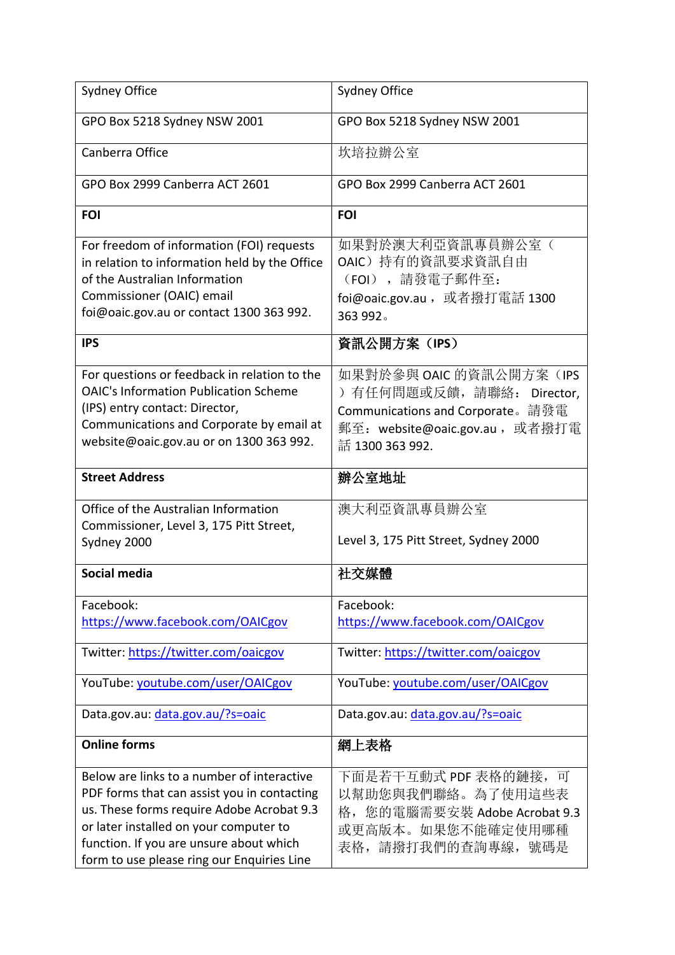| Sydney Office                                                                                                                                                                                                                                                             | Sydney Office                                                                                                                                  |
|---------------------------------------------------------------------------------------------------------------------------------------------------------------------------------------------------------------------------------------------------------------------------|------------------------------------------------------------------------------------------------------------------------------------------------|
| GPO Box 5218 Sydney NSW 2001                                                                                                                                                                                                                                              | GPO Box 5218 Sydney NSW 2001                                                                                                                   |
| Canberra Office                                                                                                                                                                                                                                                           | 坎培拉辦公室                                                                                                                                         |
| GPO Box 2999 Canberra ACT 2601                                                                                                                                                                                                                                            | GPO Box 2999 Canberra ACT 2601                                                                                                                 |
| <b>FOI</b>                                                                                                                                                                                                                                                                | <b>FOI</b>                                                                                                                                     |
| For freedom of information (FOI) requests<br>in relation to information held by the Office<br>of the Australian Information<br>Commissioner (OAIC) email<br>foi@oaic.gov.au or contact 1300 363 992.                                                                      | 如果對於澳大利亞資訊專員辦公室(<br>OAIC)持有的資訊要求資訊自由<br>(FOI), 請發電子郵件至:<br>foi@oaic.gov.au, 或者撥打電話 1300<br>363 992.                                            |
| <b>IPS</b>                                                                                                                                                                                                                                                                | 資訊公開方案(IPS)                                                                                                                                    |
| For questions or feedback in relation to the<br><b>OAIC's Information Publication Scheme</b><br>(IPS) entry contact: Director,<br>Communications and Corporate by email at<br>website@oaic.gov.au or on 1300 363 992.                                                     | 如果對於參與 OAIC 的資訊公開方案 (IPS<br>) 有任何問題或反饋, 請聯絡: Director,<br>Communications and Corporate。請發電<br>郵至:website@oaic.gov.au ,或者撥打電<br>話 1300 363 992. |
| <b>Street Address</b>                                                                                                                                                                                                                                                     | 辦公室地址                                                                                                                                          |
| Office of the Australian Information<br>Commissioner, Level 3, 175 Pitt Street,<br>Sydney 2000                                                                                                                                                                            | 澳大利亞資訊專員辦公室<br>Level 3, 175 Pitt Street, Sydney 2000                                                                                           |
| Social media                                                                                                                                                                                                                                                              | 社交媒體                                                                                                                                           |
| Facebook:<br>https://www.facebook.com/OAICgov                                                                                                                                                                                                                             | Facebook:<br>https://www.facebook.com/OAICgov                                                                                                  |
| Twitter: https://twitter.com/oaicgov                                                                                                                                                                                                                                      | Twitter: https://twitter.com/oaicgov                                                                                                           |
| YouTube: youtube.com/user/OAICgov                                                                                                                                                                                                                                         | YouTube: youtube.com/user/OAICgov                                                                                                              |
| Data.gov.au: data.gov.au/?s=oaic                                                                                                                                                                                                                                          | Data.gov.au: data.gov.au/?s=oaic                                                                                                               |
| <b>Online forms</b>                                                                                                                                                                                                                                                       | 網上表格                                                                                                                                           |
| Below are links to a number of interactive<br>PDF forms that can assist you in contacting<br>us. These forms require Adobe Acrobat 9.3<br>or later installed on your computer to<br>function. If you are unsure about which<br>form to use please ring our Enquiries Line | 下面是若干互動式 PDF 表格的鏈接,可<br>以幫助您與我們聯絡。為了使用這些表<br>格,您的電腦需要安裝 Adobe Acrobat 9.3<br>或更高版本。如果您不能確定使用哪種<br>表格, 請撥打我們的查詢專線, 號碼是                          |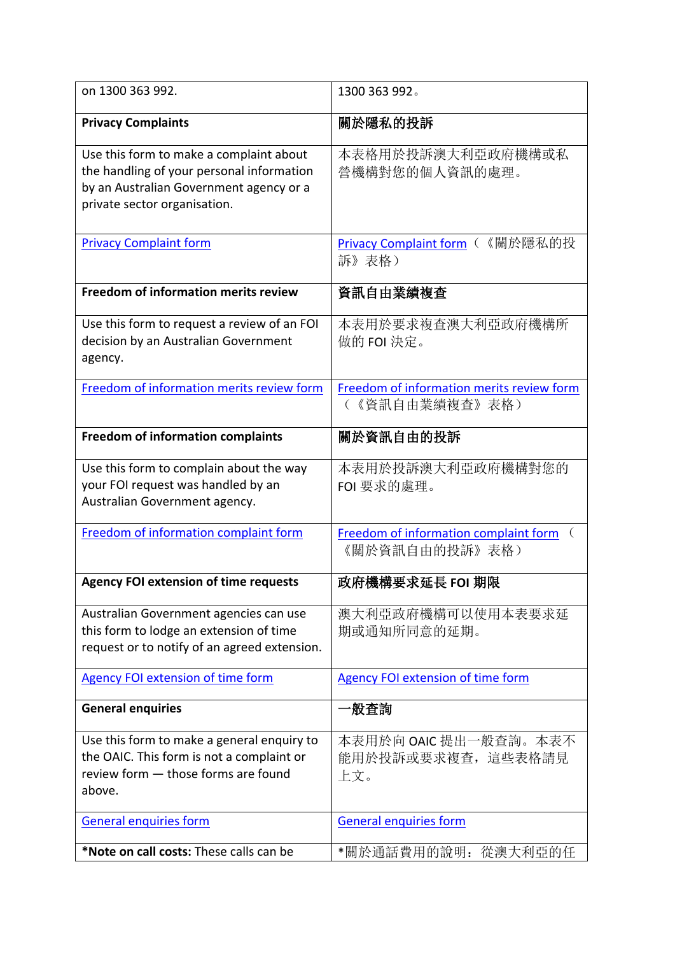| on 1300 363 992.                                                                                                                                                | 1300 363 992.                                                       |
|-----------------------------------------------------------------------------------------------------------------------------------------------------------------|---------------------------------------------------------------------|
| <b>Privacy Complaints</b>                                                                                                                                       | 關於隱私的投訴                                                             |
| Use this form to make a complaint about<br>the handling of your personal information<br>by an Australian Government agency or a<br>private sector organisation. | 本表格用於投訴澳大利亞政府機構或私<br>營機構對您的個人資訊的處理。                                 |
| <b>Privacy Complaint form</b>                                                                                                                                   | Privacy Complaint form (《關於隱私的投<br>訴》表格)                            |
| <b>Freedom of information merits review</b>                                                                                                                     | 資訊自由業績複查                                                            |
| Use this form to request a review of an FOI<br>decision by an Australian Government<br>agency.                                                                  | 本表用於要求複查澳大利亞政府機構所<br>做的 FOI 決定。                                     |
| Freedom of information merits review form                                                                                                                       | Freedom of information merits review form<br>(《資訊自由業績複查》表格)         |
| <b>Freedom of information complaints</b>                                                                                                                        | 關於資訊自由的投訴                                                           |
| Use this form to complain about the way<br>your FOI request was handled by an<br>Australian Government agency.                                                  | 本表用於投訴澳大利亞政府機構對您的<br>FOI 要求的處理。                                     |
| Freedom of information complaint form                                                                                                                           | Freedom of information complaint form<br>$\left($<br>《關於資訊自由的投訴》表格) |
| <b>Agency FOI extension of time requests</b>                                                                                                                    | 政府機構要求延長 FOI 期限                                                     |
| Australian Government agencies can use<br>this form to lodge an extension of time<br>request or to notify of an agreed extension.                               | 澳大利亞政府機構可以使用本表要求延<br>期或通知所同意的延期。                                    |
| <b>Agency FOI extension of time form</b>                                                                                                                        | <b>Agency FOI extension of time form</b>                            |
| <b>General enquiries</b>                                                                                                                                        | ∸般査詢                                                                |
| Use this form to make a general enquiry to<br>the OAIC. This form is not a complaint or<br>review form - those forms are found<br>above.                        | 本表用於向 OAIC 提出一般查詢。本表不<br>能用於投訴或要求複查, 這些表格請見<br>上文。                  |
| <b>General enquiries form</b>                                                                                                                                   | <b>General enquiries form</b>                                       |
| *Note on call costs: These calls can be                                                                                                                         | *關於通話費用的說明: 從澳大利亞的任                                                 |